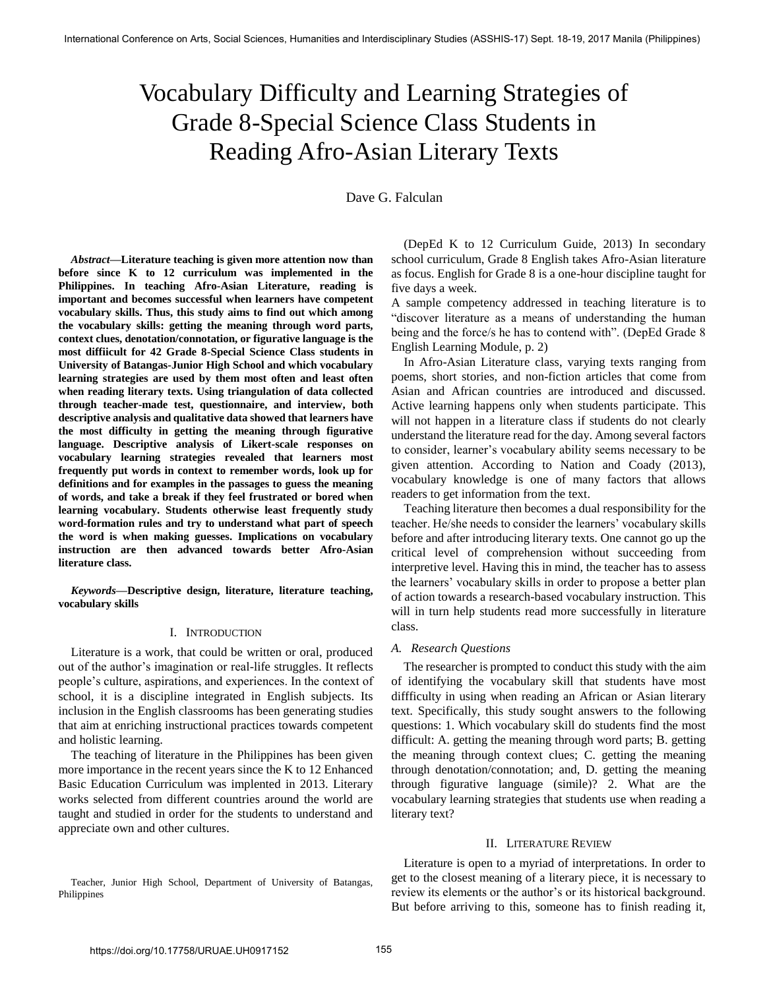# Vocabulary Difficulty and Learning Strategies of Grade 8-Special Science Class Students in Reading Afro-Asian Literary Texts

Dave G. Falculan

*Abstract***—Literature teaching is given more attention now than before since K to 12 curriculum was implemented in the Philippines. In teaching Afro-Asian Literature, reading is important and becomes successful when learners have competent vocabulary skills. Thus, this study aims to find out which among the vocabulary skills: getting the meaning through word parts, context clues, denotation/connotation, or figurative language is the most diffiicult for 42 Grade 8-Special Science Class students in University of Batangas-Junior High School and which vocabulary learning strategies are used by them most often and least often when reading literary texts. Using triangulation of data collected through teacher-made test, questionnaire, and interview, both descriptive analysis and qualitative data showed that learners have the most difficulty in getting the meaning through figurative language. Descriptive analysis of Likert-scale responses on vocabulary learning strategies revealed that learners most frequently put words in context to remember words, look up for definitions and for examples in the passages to guess the meaning of words, and take a break if they feel frustrated or bored when learning vocabulary. Students otherwise least frequently study word-formation rules and try to understand what part of speech the word is when making guesses. Implications on vocabulary instruction are then advanced towards better Afro-Asian literature class.** 

*Keywords***—Descriptive design, literature, literature teaching, vocabulary skills** 

#### I. INTRODUCTION

Literature is a work, that could be written or oral, produced out of the author"s imagination or real-life struggles. It reflects people"s culture, aspirations, and experiences. In the context of school, it is a discipline integrated in English subjects. Its inclusion in the English classrooms has been generating studies that aim at enriching instructional practices towards competent and holistic learning.

The teaching of literature in the Philippines has been given more importance in the recent years since the K to 12 Enhanced Basic Education Curriculum was implented in 2013. Literary works selected from different countries around the world are taught and studied in order for the students to understand and appreciate own and other cultures.

Teacher, Junior High School, Department of University of Batangas, Philippines

(DepEd K to 12 Curriculum Guide, 2013) In secondary school curriculum, Grade 8 English takes Afro-Asian literature as focus. English for Grade 8 is a one-hour discipline taught for five days a week.

A sample competency addressed in teaching literature is to "discover literature as a means of understanding the human being and the force/s he has to contend with". (DepEd Grade 8 English Learning Module, p. 2)

In Afro-Asian Literature class, varying texts ranging from poems, short stories, and non-fiction articles that come from Asian and African countries are introduced and discussed. Active learning happens only when students participate. This will not happen in a literature class if students do not clearly understand the literature read for the day. Among several factors to consider, learner"s vocabulary ability seems necessary to be given attention. According to Nation and Coady (2013), vocabulary knowledge is one of many factors that allows readers to get information from the text.

Teaching literature then becomes a dual responsibility for the teacher. He/she needs to consider the learners" vocabulary skills before and after introducing literary texts. One cannot go up the critical level of comprehension without succeeding from interpretive level. Having this in mind, the teacher has to assess the learners" vocabulary skills in order to propose a better plan of action towards a research-based vocabulary instruction. This will in turn help students read more successfully in literature class.

#### *A. Research Questions*

The researcher is prompted to conduct this study with the aim of identifying the vocabulary skill that students have most diffficulty in using when reading an African or Asian literary text. Specifically, this study sought answers to the following questions: 1. Which vocabulary skill do students find the most difficult: A. getting the meaning through word parts; B. getting the meaning through context clues; C. getting the meaning through denotation/connotation; and, D. getting the meaning through figurative language (simile)? 2. What are the vocabulary learning strategies that students use when reading a literary text?

#### II. LITERATURE REVIEW

Literature is open to a myriad of interpretations. In order to get to the closest meaning of a literary piece, it is necessary to review its elements or the author"s or its historical background. But before arriving to this, someone has to finish reading it,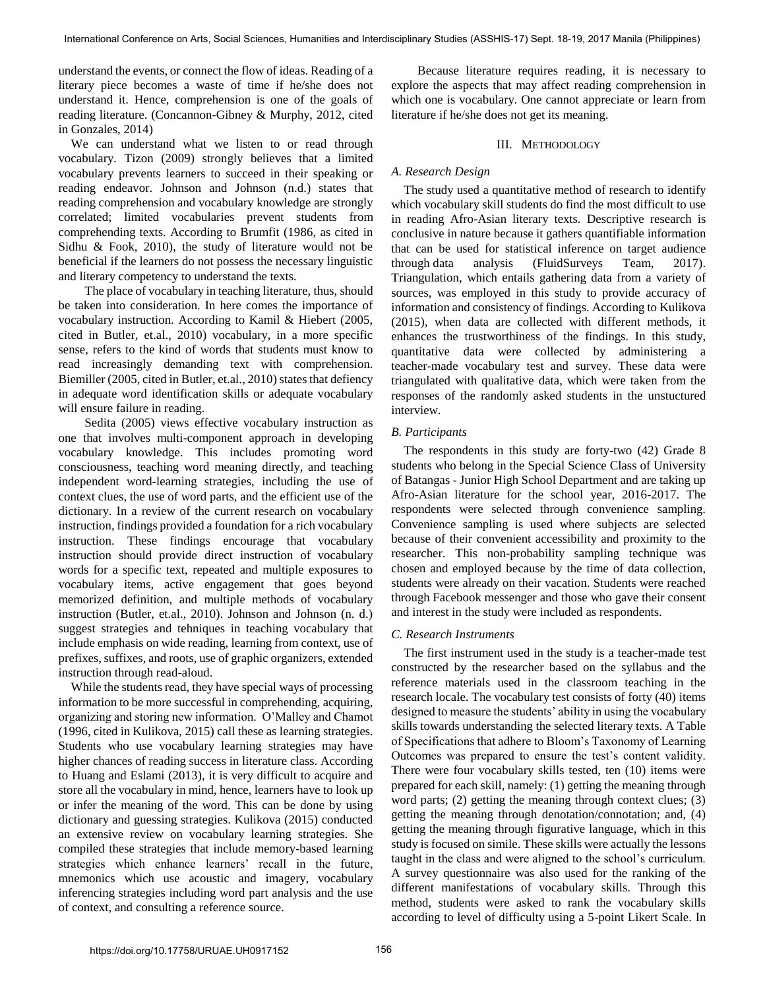understand the events, or connect the flow of ideas. Reading of a literary piece becomes a waste of time if he/she does not understand it. Hence, comprehension is one of the goals of reading literature. (Concannon-Gibney & Murphy, 2012, cited in Gonzales, 2014)

We can understand what we listen to or read through vocabulary. Tizon (2009) strongly believes that a limited vocabulary prevents learners to succeed in their speaking or reading endeavor. Johnson and Johnson (n.d.) states that reading comprehension and vocabulary knowledge are strongly correlated; limited vocabularies prevent students from comprehending texts. According to Brumfit (1986, as cited in Sidhu & Fook, 2010), the study of literature would not be beneficial if the learners do not possess the necessary linguistic and literary competency to understand the texts.

The place of vocabulary in teaching literature, thus, should be taken into consideration. In here comes the importance of vocabulary instruction. According to Kamil & Hiebert (2005, cited in Butler, et.al., 2010) vocabulary, in a more specific sense, refers to the kind of words that students must know to read increasingly demanding text with comprehension. Biemiller (2005, cited in Butler, et.al., 2010) states that defiency in adequate word identification skills or adequate vocabulary will ensure failure in reading.

Sedita (2005) views effective vocabulary instruction as one that involves multi-component approach in developing vocabulary knowledge. This includes promoting word consciousness, teaching word meaning directly, and teaching independent word-learning strategies, including the use of context clues, the use of word parts, and the efficient use of the dictionary. In a review of the current research on vocabulary instruction, findings provided a foundation for a rich vocabulary instruction. These findings encourage that vocabulary instruction should provide direct instruction of vocabulary words for a specific text, repeated and multiple exposures to vocabulary items, active engagement that goes beyond memorized definition, and multiple methods of vocabulary instruction (Butler, et.al., 2010). Johnson and Johnson (n. d.) suggest strategies and tehniques in teaching vocabulary that include emphasis on wide reading, learning from context, use of prefixes, suffixes, and roots, use of graphic organizers, extended instruction through read-aloud.

While the students read, they have special ways of processing information to be more successful in comprehending, acquiring, organizing and storing new information. O"Malley and Chamot (1996, cited in Kulikova, 2015) call these as learning strategies. Students who use vocabulary learning strategies may have higher chances of reading success in literature class. According to Huang and Eslami (2013), it is very difficult to acquire and store all the vocabulary in mind, hence, learners have to look up or infer the meaning of the word. This can be done by using dictionary and guessing strategies. Kulikova (2015) conducted an extensive review on vocabulary learning strategies. She compiled these strategies that include memory-based learning strategies which enhance learners' recall in the future, mnemonics which use acoustic and imagery, vocabulary inferencing strategies including word part analysis and the use of context, and consulting a reference source.

Because literature requires reading, it is necessary to explore the aspects that may affect reading comprehension in which one is vocabulary. One cannot appreciate or learn from literature if he/she does not get its meaning.

#### III. METHODOLOGY

### *A. Research Design*

The study used a quantitative method of research to identify which vocabulary skill students do find the most difficult to use in reading Afro-Asian literary texts. Descriptive research is conclusive in nature because it gathers quantifiable information that can be used for statistical inference on target audience throug[h data analysis](http://fluidsurveys.com/response-analysis/) (FluidSurveys Team, 2017). Triangulation, which entails gathering data from a variety of sources, was employed in this study to provide accuracy of information and consistency of findings. According to Kulikova (2015), when data are collected with different methods, it enhances the trustworthiness of the findings. In this study, quantitative data were collected by administering a teacher-made vocabulary test and survey. These data were triangulated with qualitative data, which were taken from the responses of the randomly asked students in the unstuctured interview.

## *B. Participants*

The respondents in this study are forty-two (42) Grade 8 students who belong in the Special Science Class of University of Batangas - Junior High School Department and are taking up Afro-Asian literature for the school year, 2016-2017. The respondents were selected through convenience sampling. Convenience sampling is used where subjects are selected because of their convenient accessibility and proximity to the researcher. This non-probability sampling technique was chosen and employed because by the time of data collection, students were already on their vacation. Students were reached through Facebook messenger and those who gave their consent and interest in the study were included as respondents.

#### *C. Research Instruments*

The first instrument used in the study is a teacher-made test constructed by the researcher based on the syllabus and the reference materials used in the classroom teaching in the research locale. The vocabulary test consists of forty (40) items designed to measure the students' ability in using the vocabulary skills towards understanding the selected literary texts. A Table of Specifications that adhere to Bloom"s Taxonomy of Learning Outcomes was prepared to ensure the test's content validity. There were four vocabulary skills tested, ten (10) items were prepared for each skill, namely: (1) getting the meaning through word parts; (2) getting the meaning through context clues; (3) getting the meaning through denotation/connotation; and, (4) getting the meaning through figurative language, which in this study is focused on simile. These skills were actually the lessons taught in the class and were aligned to the school"s curriculum. A survey questionnaire was also used for the ranking of the different manifestations of vocabulary skills. Through this method, students were asked to rank the vocabulary skills according to level of difficulty using a 5-point Likert Scale. In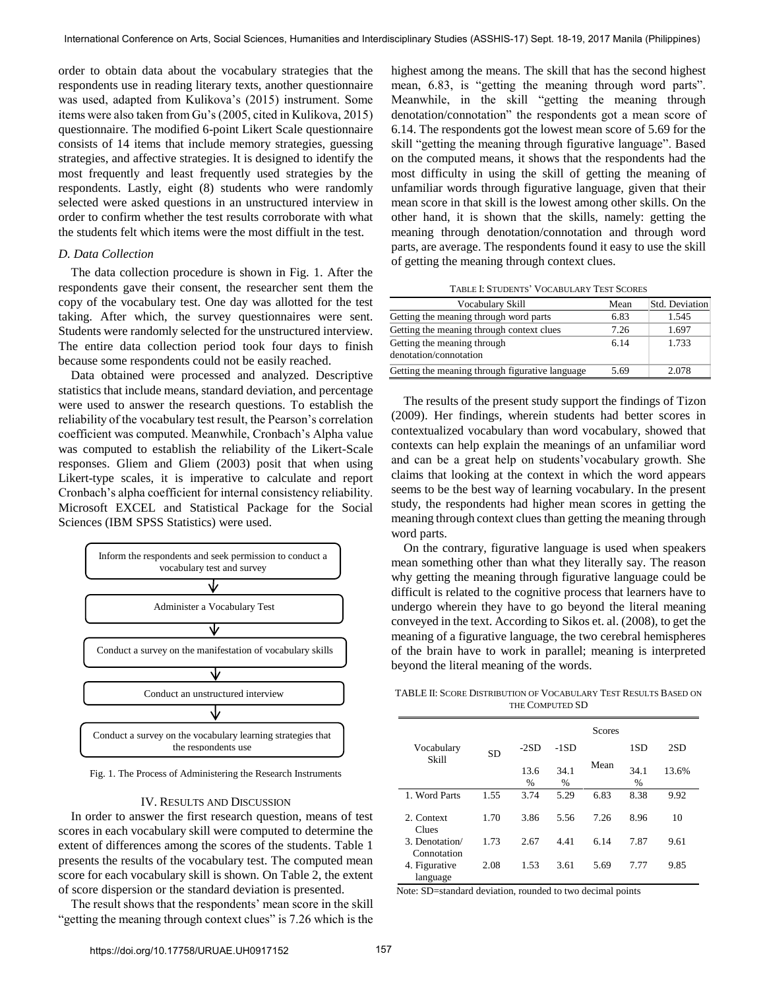order to obtain data about the vocabulary strategies that the respondents use in reading literary texts, another questionnaire was used, adapted from Kulikova"s (2015) instrument. Some items were also taken from Gu"s (2005, cited in Kulikova, 2015) questionnaire. The modified 6-point Likert Scale questionnaire consists of 14 items that include memory strategies, guessing strategies, and affective strategies. It is designed to identify the most frequently and least frequently used strategies by the respondents. Lastly, eight (8) students who were randomly selected were asked questions in an unstructured interview in order to confirm whether the test results corroborate with what the students felt which items were the most diffiult in the test.

#### *D. Data Collection*

The data collection procedure is shown in Fig. 1. After the respondents gave their consent, the researcher sent them the copy of the vocabulary test. One day was allotted for the test taking. After which, the survey questionnaires were sent. Students were randomly selected for the unstructured interview. The entire data collection period took four days to finish because some respondents could not be easily reached.

Data obtained were processed and analyzed. Descriptive statistics that include means, standard deviation, and percentage were used to answer the research questions. To establish the reliability of the vocabulary test result, the Pearson"s correlation coefficient was computed. Meanwhile, Cronbach"s Alpha value was computed to establish the reliability of the Likert-Scale responses. Gliem and Gliem (2003) posit that when using Likert-type scales, it is imperative to calculate and report Cronbach"s alpha coefficient for internal consistency reliability. Microsoft EXCEL and Statistical Package for the Social Sciences (IBM SPSS Statistics) were used.



Fig. 1. The Process of Administering the Research Instruments

#### IV. RESULTS AND DISCUSSION

In order to answer the first research question, means of test scores in each vocabulary skill were computed to determine the extent of differences among the scores of the students. Table 1 presents the results of the vocabulary test. The computed mean score for each vocabulary skill is shown. On Table 2, the extent of score dispersion or the standard deviation is presented.

The result shows that the respondents' mean score in the skill "getting the meaning through context clues" is 7.26 which is the highest among the means. The skill that has the second highest mean, 6.83, is "getting the meaning through word parts". Meanwhile, in the skill "getting the meaning through denotation/connotation" the respondents got a mean score of 6.14. The respondents got the lowest mean score of 5.69 for the skill "getting the meaning through figurative language". Based on the computed means, it shows that the respondents had the most difficulty in using the skill of getting the meaning of unfamiliar words through figurative language, given that their mean score in that skill is the lowest among other skills. On the other hand, it is shown that the skills, namely: getting the meaning through denotation/connotation and through word parts, are average. The respondents found it easy to use the skill of getting the meaning through context clues.

TABLE I: STUDENTS" VOCABULARY TEST SCORES

| Vocabulary Skill                                      | Mean | Std. Deviation |
|-------------------------------------------------------|------|----------------|
| Getting the meaning through word parts                | 6.83 | 1.545          |
| Getting the meaning through context clues             | 7.26 | 1.697          |
| Getting the meaning through<br>denotation/connotation | 6.14 | 1.733          |
| Getting the meaning through figurative language       | 5.69 | 2.078          |

The results of the present study support the findings of Tizon (2009). Her findings, wherein students had better scores in contextualized vocabulary than word vocabulary, showed that contexts can help explain the meanings of an unfamiliar word and can be a great help on students"vocabulary growth. She claims that looking at the context in which the word appears seems to be the best way of learning vocabulary. In the present study, the respondents had higher mean scores in getting the meaning through context clues than getting the meaning through word parts.

On the contrary, figurative language is used when speakers mean something other than what they literally say. The reason why getting the meaning through figurative language could be difficult is related to the cognitive process that learners have to undergo wherein they have to go beyond the literal meaning conveyed in the text. According to Sikos et. al. (2008), to get the meaning of a figurative language, the two cerebral hemispheres of the brain have to work in parallel; meaning is interpreted beyond the literal meaning of the words.

TABLE II: SCORE DISTRIBUTION OF VOCABULARY TEST RESULTS BASED ON THE COMPUTED SD

|                                          |           | <b>Scores</b>         |              |      |                       |       |  |
|------------------------------------------|-----------|-----------------------|--------------|------|-----------------------|-------|--|
| Vocabulary                               | <b>SD</b> | $-2SD$                | $-1SD$       |      | 1SD                   | 2SD   |  |
| Skill                                    |           | 13.6<br>$\frac{0}{0}$ | 34.1<br>$\%$ | Mean | 34.1<br>$\frac{0}{0}$ | 13.6% |  |
| 1. Word Parts                            | 1.55      | 3.74                  | 5.29         | 6.83 | 8.38                  | 9.92  |  |
| 2. Context<br>Clues                      | 1.70      | 3.86                  | 5.56         | 7.26 | 8.96                  | 10    |  |
| 3. Denotation/                           | 1.73      | 2.67                  | 4.41         | 6.14 | 7.87                  | 9.61  |  |
| Connotation<br>4. Figurative<br>language | 2.08      | 1.53                  | 3.61         | 5.69 | 7.77                  | 9.85  |  |

Note: SD=standard deviation, rounded to two decimal points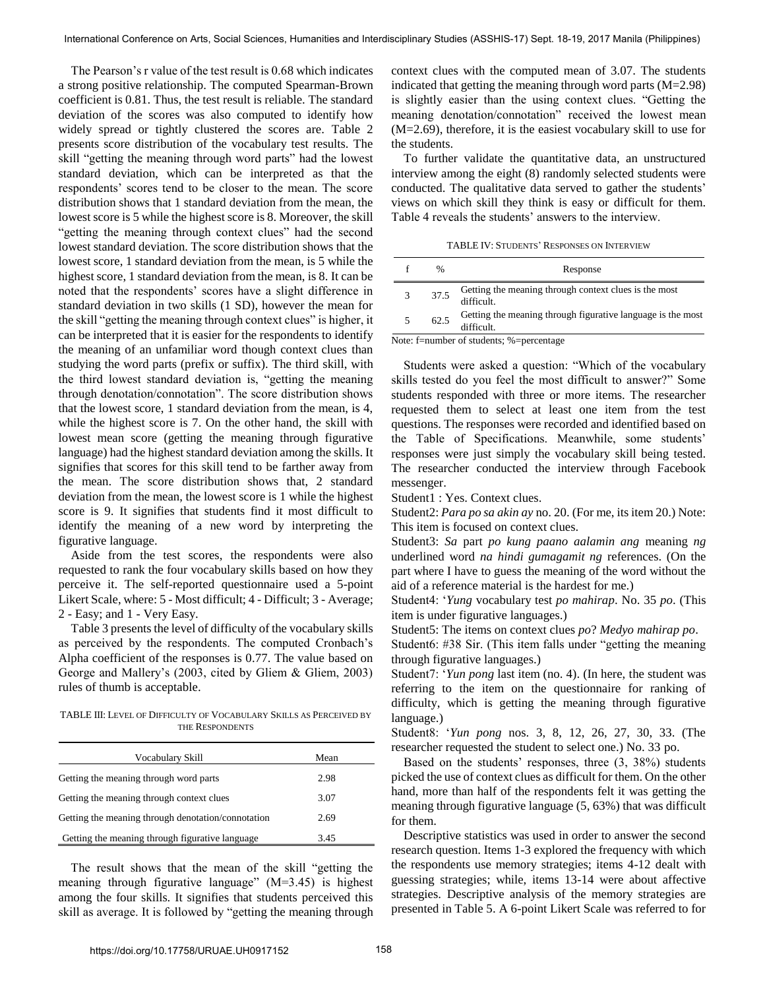The Pearson"s r value of the test result is 0.68 which indicates a strong positive relationship. The computed Spearman-Brown coefficient is 0.81. Thus, the test result is reliable. The standard deviation of the scores was also computed to identify how widely spread or tightly clustered the scores are. Table 2 presents score distribution of the vocabulary test results. The skill "getting the meaning through word parts" had the lowest standard deviation, which can be interpreted as that the respondents' scores tend to be closer to the mean. The score distribution shows that 1 standard deviation from the mean, the lowest score is 5 while the highest score is 8. Moreover, the skill "getting the meaning through context clues" had the second lowest standard deviation. The score distribution shows that the lowest score, 1 standard deviation from the mean, is 5 while the highest score, 1 standard deviation from the mean, is 8. It can be noted that the respondents' scores have a slight difference in standard deviation in two skills (1 SD), however the mean for the skill "getting the meaning through context clues" is higher, it can be interpreted that it is easier for the respondents to identify the meaning of an unfamiliar word though context clues than studying the word parts (prefix or suffix). The third skill, with the third lowest standard deviation is, "getting the meaning through denotation/connotation". The score distribution shows that the lowest score, 1 standard deviation from the mean, is 4, while the highest score is 7. On the other hand, the skill with lowest mean score (getting the meaning through figurative language) had the highest standard deviation among the skills. It signifies that scores for this skill tend to be farther away from the mean. The score distribution shows that, 2 standard deviation from the mean, the lowest score is 1 while the highest score is 9. It signifies that students find it most difficult to identify the meaning of a new word by interpreting the figurative language.

Aside from the test scores, the respondents were also requested to rank the four vocabulary skills based on how they perceive it. The self-reported questionnaire used a 5-point Likert Scale, where: 5 - Most difficult; 4 - Difficult; 3 - Average; 2 - Easy; and 1 - Very Easy.

Table 3 presents the level of difficulty of the vocabulary skills as perceived by the respondents. The computed Cronbach"s Alpha coefficient of the responses is 0.77. The value based on George and Mallery's (2003, cited by Gliem & Gliem, 2003) rules of thumb is acceptable.

TABLE III: LEVEL OF DIFFICULTY OF VOCABULARY SKILLS AS PERCEIVED BY THE RESPONDENTS

| Vocabulary Skill                                   | Mean |  |
|----------------------------------------------------|------|--|
| Getting the meaning through word parts             | 2.98 |  |
| Getting the meaning through context clues          | 3.07 |  |
| Getting the meaning through denotation/connotation | 2.69 |  |
| Getting the meaning through figurative language    | 3.45 |  |

The result shows that the mean of the skill "getting the meaning through figurative language" (M=3.45) is highest among the four skills. It signifies that students perceived this skill as average. It is followed by "getting the meaning through context clues with the computed mean of 3.07. The students indicated that getting the meaning through word parts  $(M=2.98)$ is slightly easier than the using context clues. "Getting the meaning denotation/connotation" received the lowest mean (M=2.69), therefore, it is the easiest vocabulary skill to use for the students.

To further validate the quantitative data, an unstructured interview among the eight (8) randomly selected students were conducted. The qualitative data served to gather the students' views on which skill they think is easy or difficult for them. Table 4 reveals the students' answers to the interview.

TABLE IV: STUDENTS" RESPONSES ON INTERVIEW

|          | %      | Response                                                               |
|----------|--------|------------------------------------------------------------------------|
|          | 37.5   | Getting the meaning through context clues is the most<br>difficult.    |
|          | 62.5   | Getting the meaning through figurative language is the most difficult. |
| $\cdots$ | $\sim$ | $\alpha$ , $\alpha$ , $\alpha$                                         |

Note: f=number of students; %=percentage

Students were asked a question: "Which of the vocabulary skills tested do you feel the most difficult to answer?" Some students responded with three or more items. The researcher requested them to select at least one item from the test questions. The responses were recorded and identified based on the Table of Specifications. Meanwhile, some students' responses were just simply the vocabulary skill being tested. The researcher conducted the interview through Facebook messenger.

Student1 : Yes. Context clues.

Student2: *Para po sa akin ay* no. 20. (For me, its item 20.) Note: This item is focused on context clues.

Student3: *Sa* part *po kung paano aalamin ang* meaning *ng* underlined word *na hindi gumagamit ng* references. (On the part where I have to guess the meaning of the word without the aid of a reference material is the hardest for me.)

Student4: "*Yung* vocabulary test *po mahirap*. No. 35 *po*. (This item is under figurative languages.)

Student5: The items on context clues *po*? *Medyo mahirap po*.

Student6: #38 Sir. (This item falls under "getting the meaning through figurative languages.)

Student7: "*Yun pong* last item (no. 4). (In here, the student was referring to the item on the questionnaire for ranking of difficulty, which is getting the meaning through figurative language.)

Student8: "*Yun pong* nos. 3, 8, 12, 26, 27, 30, 33. (The researcher requested the student to select one.) No. 33 po.

Based on the students' responses, three  $(3, 38\%)$  students picked the use of context clues as difficult for them. On the other hand, more than half of the respondents felt it was getting the meaning through figurative language (5, 63%) that was difficult for them.

Descriptive statistics was used in order to answer the second research question. Items 1-3 explored the frequency with which the respondents use memory strategies; items 4-12 dealt with guessing strategies; while, items 13-14 were about affective strategies. Descriptive analysis of the memory strategies are presented in Table 5. A 6-point Likert Scale was referred to for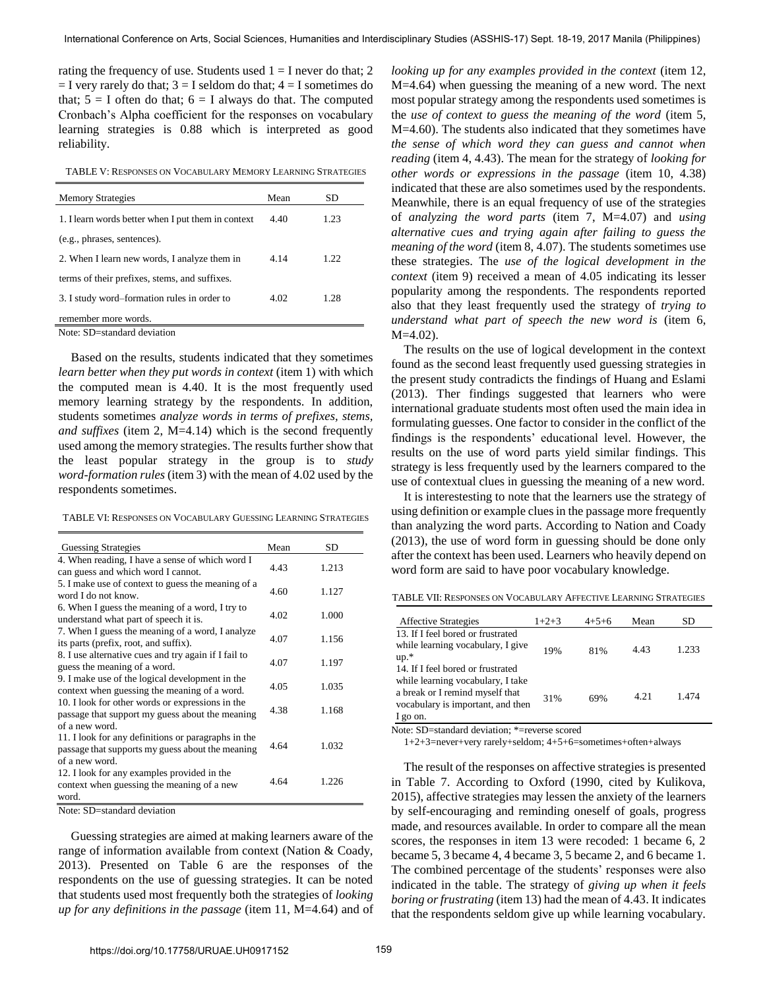rating the frequency of use. Students used  $1 = I$  never do that; 2  $=$  I very rarely do that;  $3 =$  I seldom do that;  $4 =$  I sometimes do that;  $5 = I$  often do that;  $6 = I$  always do that. The computed Cronbach"s Alpha coefficient for the responses on vocabulary learning strategies is 0.88 which is interpreted as good reliability.

TABLE V: RESPONSES ON VOCABULARY MEMORY LEARNING STRATEGIES

| <b>Memory Strategies</b>                                                           | Mean | SD   |
|------------------------------------------------------------------------------------|------|------|
| 1. I learn words better when I put them in context                                 | 4.40 | 1.23 |
| (e.g., phrases, sentences).                                                        |      |      |
| 2. When I learn new words, I analyze them in                                       | 4.14 | 1.22 |
| terms of their prefixes, stems, and suffixes.                                      |      |      |
| 3. I study word–formation rules in order to                                        | 4.02 | 1.28 |
| remember more words.<br>$\mathbf{M}$ and $\mathbf{M}$ is the state of $\mathbf{M}$ |      |      |

Note: SD=standard deviation

Based on the results, students indicated that they sometimes *learn better when they put words in context* (item 1) with which the computed mean is 4.40. It is the most frequently used memory learning strategy by the respondents. In addition, students sometimes *analyze words in terms of prefixes, stems, and suffixes* (item 2, M=4.14) which is the second frequently used among the memory strategies. The results further show that the least popular strategy in the group is to *study word-formation rules* (item 3) with the mean of 4.02 used by the respondents sometimes.

| <b>Guessing Strategies</b>                                                                                                | Mean | SD    |
|---------------------------------------------------------------------------------------------------------------------------|------|-------|
| 4. When reading, I have a sense of which word I<br>can guess and which word I cannot.                                     | 4.43 | 1.213 |
| 5. I make use of context to guess the meaning of a<br>word I do not know.                                                 | 4.60 | 1.127 |
| 6. When I guess the meaning of a word, I try to<br>understand what part of speech it is.                                  | 4.02 | 1.000 |
| 7. When I guess the meaning of a word, I analyze<br>its parts (prefix, root, and suffix).                                 | 4.07 | 1.156 |
| 8. I use alternative cues and try again if I fail to<br>guess the meaning of a word.                                      | 4.07 | 1.197 |
| 9. I make use of the logical development in the<br>context when guessing the meaning of a word.                           | 4.05 | 1.035 |
| 10. I look for other words or expressions in the<br>passage that support my guess about the meaning<br>of a new word.     | 4.38 | 1.168 |
| 11. I look for any definitions or paragraphs in the<br>passage that supports my guess about the meaning<br>of a new word. | 4.64 | 1.032 |
| 12. I look for any examples provided in the<br>context when guessing the meaning of a new<br>word.                        | 4.64 | 1.226 |

Note: SD=standard deviation

Guessing strategies are aimed at making learners aware of the range of information available from context (Nation & Coady, 2013). Presented on Table 6 are the responses of the respondents on the use of guessing strategies. It can be noted that students used most frequently both the strategies of *looking up for any definitions in the passage* (item 11, M=4.64) and of *looking up for any examples provided in the context* (item 12, M=4.64) when guessing the meaning of a new word. The next most popular strategy among the respondents used sometimes is the *use of context to guess the meaning of the word* (item 5, M=4.60). The students also indicated that they sometimes have *the sense of which word they can guess and cannot when reading* (item 4, 4.43). The mean for the strategy of *looking for other words or expressions in the passage* (item 10, 4.38) indicated that these are also sometimes used by the respondents. Meanwhile, there is an equal frequency of use of the strategies of *analyzing the word parts* (item 7, M=4.07) and *using alternative cues and trying again after failing to guess the meaning of the word* (item 8, 4.07). The students sometimes use these strategies. The *use of the logical development in the context* (item 9) received a mean of 4.05 indicating its lesser popularity among the respondents. The respondents reported also that they least frequently used the strategy of *trying to understand what part of speech the new word is* (item 6, M=4.02).

The results on the use of logical development in the context found as the second least frequently used guessing strategies in the present study contradicts the findings of Huang and Eslami (2013). Ther findings suggested that learners who were international graduate students most often used the main idea in formulating guesses. One factor to consider in the conflict of the findings is the respondents' educational level. However, the results on the use of word parts yield similar findings. This strategy is less frequently used by the learners compared to the use of contextual clues in guessing the meaning of a new word.

It is interestesting to note that the learners use the strategy of using definition or example clues in the passage more frequently than analyzing the word parts. According to Nation and Coady (2013), the use of word form in guessing should be done only after the context has been used. Learners who heavily depend on word form are said to have poor vocabulary knowledge.

TABLE VII: RESPONSES ON VOCABULARY AFFECTIVE LEARNING STRATEGIES

| <b>Affective Strategies</b>                                                                                                                                | $1+2+3$ | $4+5+6$ | Mean | SD    |
|------------------------------------------------------------------------------------------------------------------------------------------------------------|---------|---------|------|-------|
| 13. If I feel bored or frustrated<br>while learning vocabulary, I give<br>$up.*$                                                                           | 19%     | 81%     | 4.43 | 1.233 |
| 14. If I feel bored or frustrated<br>while learning vocabulary, I take<br>a break or I remind myself that<br>vocabulary is important, and then<br>1 go on. | 31%     | 69%     | 4.21 | 1.474 |

Note: SD=standard deviation; \*=reverse scored

1+2+3=never+very rarely+seldom; 4+5+6=sometimes+often+always

The result of the responses on affective strategies is presented in Table 7. According to Oxford (1990, cited by Kulikova, 2015), affective strategies may lessen the anxiety of the learners by self-encouraging and reminding oneself of goals, progress made, and resources available. In order to compare all the mean scores, the responses in item 13 were recoded: 1 became 6, 2 became 5, 3 became 4, 4 became 3, 5 became 2, and 6 became 1. The combined percentage of the students' responses were also indicated in the table. The strategy of *giving up when it feels boring or frustrating* (item 13) had the mean of 4.43. It indicates that the respondents seldom give up while learning vocabulary.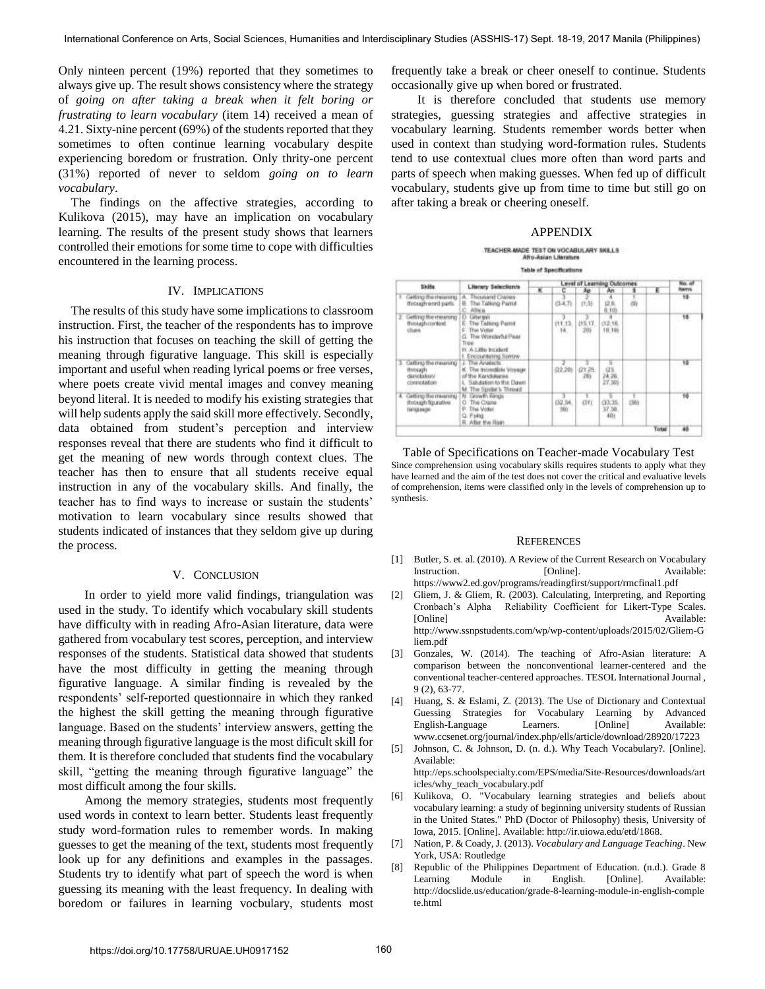Only ninteen percent (19%) reported that they sometimes to always give up. The result shows consistency where the strategy of *going on after taking a break when it felt boring or frustrating to learn vocabulary* (item 14) received a mean of 4.21. Sixty-nine percent (69%) of the students reported that they sometimes to often continue learning vocabulary despite experiencing boredom or frustration. Only thrity-one percent (31%) reported of never to seldom *going on to learn vocabulary*.

The findings on the affective strategies, according to Kulikova (2015), may have an implication on vocabulary learning. The results of the present study shows that learners controlled their emotions for some time to cope with difficulties encountered in the learning process.

#### IV. IMPLICATIONS

The results of this study have some implications to classroom instruction. First, the teacher of the respondents has to improve his instruction that focuses on teaching the skill of getting the meaning through figurative language. This skill is especially important and useful when reading lyrical poems or free verses, where poets create vivid mental images and convey meaning beyond literal. It is needed to modify his existing strategies that will help sudents apply the said skill more effectively. Secondly, data obtained from student"s perception and interview responses reveal that there are students who find it difficult to get the meaning of new words through context clues. The teacher has then to ensure that all students receive equal instruction in any of the vocabulary skills. And finally, the teacher has to find ways to increase or sustain the students" motivation to learn vocabulary since results showed that students indicated of instances that they seldom give up during the process.

#### V. CONCLUSION

In order to yield more valid findings, triangulation was used in the study. To identify which vocabulary skill students have difficulty with in reading Afro-Asian literature, data were gathered from vocabulary test scores, perception, and interview responses of the students. Statistical data showed that students have the most difficulty in getting the meaning through figurative language. A similar finding is revealed by the respondents' self-reported questionnaire in which they ranked the highest the skill getting the meaning through figurative language. Based on the students' interview answers, getting the meaning through figurative language is the most dificult skill for them. It is therefore concluded that students find the vocabulary skill, "getting the meaning through figurative language" the most difficult among the four skills.

Among the memory strategies, students most frequently used words in context to learn better. Students least frequently study word-formation rules to remember words. In making guesses to get the meaning of the text, students most frequently look up for any definitions and examples in the passages. Students try to identify what part of speech the word is when guessing its meaning with the least frequency. In dealing with boredom or failures in learning vocbulary, students most

frequently take a break or cheer oneself to continue. Students occasionally give up when bored or frustrated.

It is therefore concluded that students use memory strategies, guessing strategies and affective strategies in vocabulary learning. Students remember words better when used in context than studying word-formation rules. Students tend to use contextual clues more often than word parts and parts of speech when making guesses. When fed up of difficult vocabulary, students give up from time to time but still go on after taking a break or cheering oneself.

#### APPENDIX

# TEACHER MADE TEST ON VOCABULARY SKILLS

**Table of Specifications** 

| Skills:                                                               |                                                                                                                                     | Level of Learning Outcomes |                |                       |                               |        |       | No. o                   |  |
|-----------------------------------------------------------------------|-------------------------------------------------------------------------------------------------------------------------------------|----------------------------|----------------|-----------------------|-------------------------------|--------|-------|-------------------------|--|
|                                                                       | Literary Selection's                                                                                                                | (8)                        |                | Άø                    |                               |        | Έ     | <b>Remni</b>            |  |
| Lefting (fun cholarsmy)<br>micughword pans.                           | <b>Thousand Charges</b><br>The Talking Pamir<br>C. Africa.                                                                          | <b>STOP</b>                | $(3-1, 7)$     | 优站                    | 採用<br>0,101                   | (1)    |       | $\overline{\mathbf{1}}$ |  |
| letting the missong<br><b>Through context</b><br>thats a              | D. Grianges<br>The Talking Partit<br>This Volan<br>This Workswork Pear<br>Trujub<br>H. A Little treature.<br>I. Encountering Sumsw. |                            | 01:13.<br>14   | (15.17.<br>201        | (12.16)<br>18, 19)            |        |       | $^{18}$                 |  |
| Gaffirto the meaning<br><b>ITSKING</b><br>dirickatory.<br>connotation | The Analycts<br><b>K. The Incovedible Voyage</b><br>of the Kandyayae<br>Sakason to the Dawn<br>M. The Spoker's Thread.              |                            | (22.29)        | 0125<br>283<br>$\sim$ | $\frac{123}{24.20}$<br>27.701 |        |       | 百                       |  |
| Getting the meaning<br>missagh figurativa.<br><b>NATIONALISM</b>      | N. Growth Rings<br>O. The Crane<br>This Voter.<br>p.<br>G. Films<br>R. After the Flam                                               |                            | (32.34)<br>391 | GD                    | 5<br>(33.36)<br>37,50.<br>40  | $1001$ |       | W                       |  |
|                                                                       |                                                                                                                                     |                            |                |                       |                               |        | Total | 48                      |  |

Table of Specifications on Teacher-made Vocabulary Test Since comprehension using vocabulary skills requires students to apply what they have learned and the aim of the test does not cover the critical and evaluative levels of comprehension, items were classified only in the levels of comprehension up to synthesis.

#### **REFERENCES**

- [1] Butler, S. et. al. (2010). A Review of the Current Research on Vocabulary Instruction. [Online]. Available: <https://www2.ed.gov/programs/readingfirst/support/rmcfinal1.pdf>
- [2] Gliem, J. & Gliem, R. (2003). Calculating, Interpreting, and Reporting Cronbach"s Alpha Reliability Coefficient for Likert-Type Scales. [Online] Available: [http://www.ssnpstudents.com/wp/wp-content/uploads/2015/02/Gliem-G](http://www.ssnpstudents.com/wp/wp-content/uploads/2015/02/Gliem-Gliem.pdf) [liem.pdf](http://www.ssnpstudents.com/wp/wp-content/uploads/2015/02/Gliem-Gliem.pdf)
- [3] Gonzales, W. (2014). The teaching of Afro-Asian literature: A comparison between the nonconventional learner-centered and the conventional teacher-centered approaches. TESOL International Journal , 9 (2), 63-77.
- [4] Huang, S. & Eslami, Z. (2013). The Use of Dictionary and Contextual Guessing Strategies for Vocabulary Learning by Advanced English-Language Learners. [Online] Available: [www.ccsenet.org/journal/index.php/ells/article/download/28920/17223](http://www.ccsenet.org/journal/index.php/ells/article/download/28920/17223)
- [5] Johnson, C. & Johnson, D. (n. d.). Why Teach Vocabulary?. [Online]. Available:
	- [http://eps.schoolspecialty.com/EPS/media/Site-Resources/downloads/art](http://eps.schoolspecialty.com/EPS/media/Site-Resources/downloads/articles/) [icles/w](http://eps.schoolspecialty.com/EPS/media/Site-Resources/downloads/articles/)hy\_teach\_vocabulary.pdf
- [6] Kulikova, O. "Vocabulary learning strategies and beliefs about vocabulary learning: a study of beginning university students of Russian in the United States." PhD (Doctor of Philosophy) thesis, University of Iowa, 2015. [Online]. Available:<http://ir.uiowa.edu/etd/1868.>
- [7] Nation, P. & Coady, J. (2013). *Vocabulary and Language Teaching*. New York, USA: Routledge
- [8] Republic of the Philippines Department of Education. (n.d.). Grade 8 Learning Module in English. [Online]. Available: [http://docslide.us/education/grade-8-learning-module-in](http://docslide.us/education/grade-8-learning-module-)-english-comple te.html